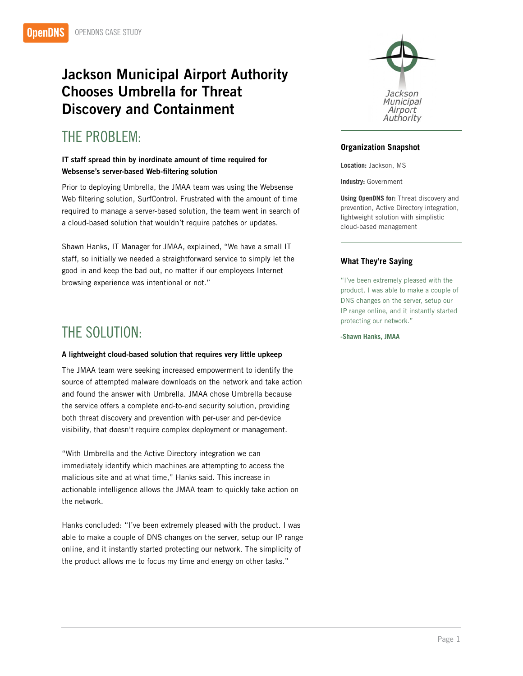# Jackson Municipal Airport Authority Chooses Umbrella for Threat Discovery and Containment

# THE PROBLEM:

### IT staff spread thin by inordinate amount of time required for Websense's server-based Web-filtering solution

Prior to deploying Umbrella, the JMAA team was using the Websense Web filtering solution, SurfControl. Frustrated with the amount of time required to manage a server-based solution, the team went in search of a cloud-based solution that wouldn't require patches or updates.

Shawn Hanks, IT Manager for JMAA, explained, "We have a small IT staff, so initially we needed a straightforward service to simply let the good in and keep the bad out, no matter if our employees Internet browsing experience was intentional or not."

## THE SOLUTION:

#### A lightweight cloud-based solution that requires very little upkeep

The JMAA team were seeking increased empowerment to identify the source of attempted malware downloads on the network and take action and found the answer with Umbrella. JMAA chose Umbrella because the service offers a complete end-to-end security solution, providing both threat discovery and prevention with per-user and per-device visibility, that doesn't require complex deployment or management.

"With Umbrella and the Active Directory integration we can immediately identify which machines are attempting to access the malicious site and at what time," Hanks said. This increase in actionable intelligence allows the JMAA team to quickly take action on the network.

Hanks concluded: "I've been extremely pleased with the product. I was able to make a couple of DNS changes on the server, setup our IP range online, and it instantly started protecting our network. The simplicity of the product allows me to focus my time and energy on other tasks."



### **Organization Snapshot**

**Location:** Jackson, MS

**Industry:** Government

**Using OpenDNS for:** Threat discovery and prevention, Active Directory integration, lightweight solution with simplistic cloud-based management

### **What They're Saying**

"I've been extremely pleased with the product. I was able to make a couple of DNS changes on the server, setup our IP range online, and it instantly started protecting our network."

**-Shawn Hanks, JMAA**